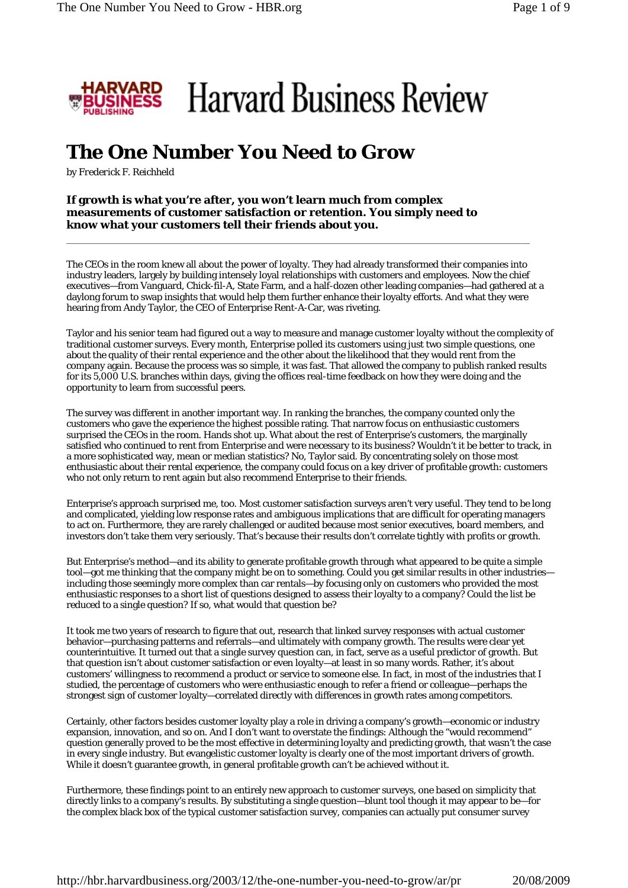



## **The One Number You Need to Grow**

by *Frederick F. Reichheld*

**If growth is what you're after, you won't learn much from complex measurements of customer satisfaction or retention. You simply need to know what your customers tell their friends about you.**

The CEOs in the room knew all about the power of loyalty. They had already transformed their companies into industry leaders, largely by building intensely loyal relationships with customers and employees. Now the chief executives—from Vanguard, Chick-fil-A, State Farm, and a half-dozen other leading companies—had gathered at a daylong forum to swap insights that would help them further enhance their loyalty efforts. And what they were hearing from Andy Taylor, the CEO of Enterprise Rent-A-Car, was riveting.

Taylor and his senior team had figured out a way to measure and manage customer loyalty without the complexity of traditional customer surveys. Every month, Enterprise polled its customers using just two simple questions, one about the quality of their rental experience and the other about the likelihood that they would rent from the company again. Because the process was so simple, it was fast. That allowed the company to publish ranked results for its 5,000 U.S. branches within days, giving the offices real-time feedback on how they were doing and the opportunity to learn from successful peers.

The survey was different in another important way. In ranking the branches, the company counted only the customers who gave the experience the highest possible rating. That narrow focus on enthusiastic customers surprised the CEOs in the room. Hands shot up. What about the rest of Enterprise's customers, the marginally satisfied who continued to rent from Enterprise and were necessary to its business? Wouldn't it be better to track, in a more sophisticated way, mean or median statistics? No, Taylor said. By concentrating solely on those most enthusiastic about their rental experience, the company could focus on a key driver of profitable growth: customers who not only return to rent again but also recommend Enterprise to their friends.

Enterprise's approach surprised me, too. Most customer satisfaction surveys aren't very useful. They tend to be long and complicated, yielding low response rates and ambiguous implications that are difficult for operating managers to act on. Furthermore, they are rarely challenged or audited because most senior executives, board members, and investors don't take them very seriously. That's because their results don't correlate tightly with profits or growth.

But Enterprise's method—and its ability to generate profitable growth through what appeared to be quite a simple tool—got me thinking that the company might be on to something. Could you get similar results in other industries including those seemingly more complex than car rentals—by focusing only on customers who provided the most enthusiastic responses to a short list of questions designed to assess their loyalty to a company? Could the list be reduced to a single question? If so, what would that question be?

It took me two years of research to figure that out, research that linked survey responses with actual customer behavior—purchasing patterns and referrals—and ultimately with company growth. The results were clear yet counterintuitive. It turned out that a single survey question can, in fact, serve as a useful predictor of growth. But that question isn't about customer satisfaction or even loyalty—at least in so many words. Rather, it's about customers' willingness to recommend a product or service to someone else. In fact, in most of the industries that I studied, the percentage of customers who were enthusiastic enough to refer a friend or colleague—perhaps the strongest sign of customer loyalty—correlated directly with differences in growth rates among competitors.

Certainly, other factors besides customer loyalty play a role in driving a company's growth—economic or industry expansion, innovation, and so on. And I don't want to overstate the findings: Although the "would recommend" question generally proved to be the most effective in determining loyalty and predicting growth, that wasn't the case in every single industry. But evangelistic customer loyalty is clearly one of the most important drivers of growth. While it doesn't guarantee growth, in general profitable growth can't be achieved without it.

Furthermore, these findings point to an entirely new approach to customer surveys, one based on simplicity that directly links to a company's results. By substituting a single question—blunt tool though it may appear to be—for the complex black box of the typical customer satisfaction survey, companies can actually put consumer survey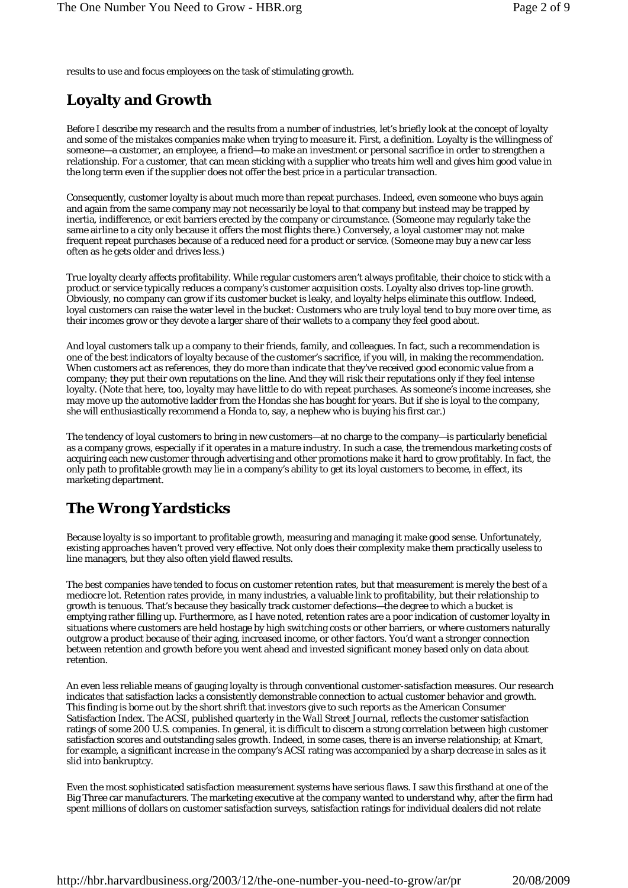results to use and focus employees on the task of stimulating growth.

### **Loyalty and Growth**

Before I describe my research and the results from a number of industries, let's briefly look at the concept of loyalty and some of the mistakes companies make when trying to measure it. First, a definition. Loyalty is the willingness of someone—a customer, an employee, a friend—to make an investment or personal sacrifice in order to strengthen a relationship. For a customer, that can mean sticking with a supplier who treats him well and gives him good value in the long term even if the supplier does not offer the best price in a particular transaction.

Consequently, customer loyalty is about much more than repeat purchases. Indeed, even someone who buys again and again from the same company may not necessarily be loyal to that company but instead may be trapped by inertia, indifference, or exit barriers erected by the company or circumstance. (Someone may regularly take the same airline to a city only because it offers the most flights there.) Conversely, a loyal customer may not make frequent repeat purchases because of a reduced need for a product or service. (Someone may buy a new car less often as he gets older and drives less.)

True loyalty clearly affects profitability. While regular customers aren't always profitable, their choice to stick with a product or service typically reduces a company's customer acquisition costs. Loyalty also drives top-line growth. Obviously, no company can grow if its customer bucket is leaky, and loyalty helps eliminate this outflow. Indeed, loyal customers can raise the water level in the bucket: Customers who are truly loyal tend to buy more over time, as their incomes grow or they devote a larger share of their wallets to a company they feel good about.

And loyal customers talk up a company to their friends, family, and colleagues. In fact, such a recommendation is one of the best indicators of loyalty because of the customer's sacrifice, if you will, in making the recommendation. When customers act as references, they do more than indicate that they've received good economic value from a company; they put their own reputations on the line. And they will risk their reputations only if they feel intense loyalty. (Note that here, too, loyalty may have little to do with repeat purchases. As someone's income increases, she may move up the automotive ladder from the Hondas she has bought for years. But if she is loyal to the company, she will enthusiastically recommend a Honda to, say, a nephew who is buying his first car.)

The tendency of loyal customers to bring in new customers—at no charge to the company—is particularly beneficial as a company grows, especially if it operates in a mature industry. In such a case, the tremendous marketing costs of acquiring each new customer through advertising and other promotions make it hard to grow profitably. In fact, the only path to profitable growth may lie in a company's ability to get its loyal customers to become, in effect, its marketing department.

### **The Wrong Yardsticks**

Because loyalty is so important to profitable growth, measuring and managing it make good sense. Unfortunately, existing approaches haven't proved very effective. Not only does their complexity make them practically useless to line managers, but they also often yield flawed results.

The best companies have tended to focus on customer retention rates, but that measurement is merely the best of a mediocre lot. Retention rates provide, in many industries, a valuable link to profitability, but their relationship to growth is tenuous. That's because they basically track customer defections—the degree to which a bucket is emptying rather filling up. Furthermore, as I have noted, retention rates are a poor indication of customer loyalty in situations where customers are held hostage by high switching costs or other barriers, or where customers naturally outgrow a product because of their aging, increased income, or other factors. You'd want a stronger connection between retention and growth before you went ahead and invested significant money based only on data about retention.

An even less reliable means of gauging loyalty is through conventional customer-satisfaction measures. Our research indicates that satisfaction lacks a consistently demonstrable connection to actual customer behavior and growth. This finding is borne out by the short shrift that investors give to such reports as the American Consumer Satisfaction Index. The ACSI, published quarterly in the *Wall Street Journal*, reflects the customer satisfaction ratings of some 200 U.S. companies. In general, it is difficult to discern a strong correlation between high customer satisfaction scores and outstanding sales growth. Indeed, in some cases, there is an inverse relationship; at Kmart, for example, a significant increase in the company's ACSI rating was accompanied by a sharp decrease in sales as it slid into bankruptcy.

Even the most sophisticated satisfaction measurement systems have serious flaws. I saw this firsthand at one of the Big Three car manufacturers. The marketing executive at the company wanted to understand why, after the firm had spent millions of dollars on customer satisfaction surveys, satisfaction ratings for individual dealers did not relate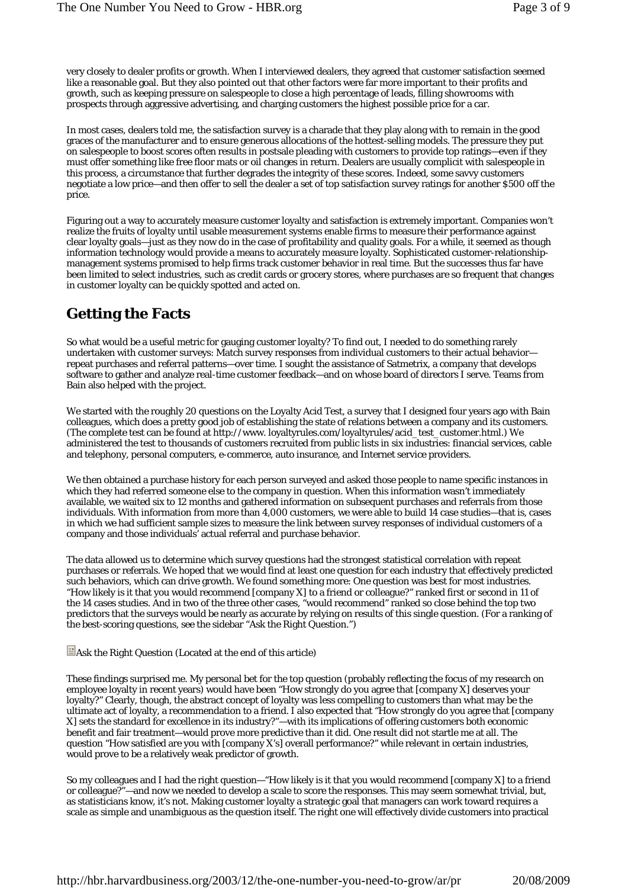very closely to dealer profits or growth. When I interviewed dealers, they agreed that customer satisfaction seemed like a reasonable goal. But they also pointed out that other factors were far more important to their profits and growth, such as keeping pressure on salespeople to close a high percentage of leads, filling showrooms with prospects through aggressive advertising, and charging customers the highest possible price for a car.

In most cases, dealers told me, the satisfaction survey is a charade that they play along with to remain in the good graces of the manufacturer and to ensure generous allocations of the hottest-selling models. The pressure they put on salespeople to boost scores often results in postsale pleading with customers to provide top ratings—even if they must offer something like free floor mats or oil changes in return. Dealers are usually complicit with salespeople in this process, a circumstance that further degrades the integrity of these scores. Indeed, some savvy customers negotiate a low price—and then offer to sell the dealer a set of top satisfaction survey ratings for another \$500 off the price.

Figuring out a way to accurately measure customer loyalty and satisfaction is extremely important. Companies won't realize the fruits of loyalty until usable measurement systems enable firms to measure their performance against clear loyalty goals—just as they now do in the case of profitability and quality goals. For a while, it seemed as though information technology would provide a means to accurately measure loyalty. Sophisticated customer-relationshipmanagement systems promised to help firms track customer behavior in real time. But the successes thus far have been limited to select industries, such as credit cards or grocery stores, where purchases are so frequent that changes in customer loyalty can be quickly spotted and acted on.

#### **Getting the Facts**

So what would be a useful metric for gauging customer loyalty? To find out, I needed to do something rarely undertaken with customer surveys: Match survey responses from individual customers to their actual behavior repeat purchases and referral patterns—over time. I sought the assistance of Satmetrix, a company that develops software to gather and analyze real-time customer feedback—and on whose board of directors I serve. Teams from Bain also helped with the project.

We started with the roughly 20 questions on the Loyalty Acid Test, a survey that I designed four years ago with Bain colleagues, which does a pretty good job of establishing the state of relations between a company and its customers. (The complete test can be found at http://www. loyaltyrules.com/loyaltyrules/acid\_test\_customer.html.) We administered the test to thousands of customers recruited from public lists in six industries: financial services, cable and telephony, personal computers, e-commerce, auto insurance, and Internet service providers.

We then obtained a purchase history for each person surveyed and asked those people to name specific instances in which they had referred someone else to the company in question. When this information wasn't immediately available, we waited six to 12 months and gathered information on subsequent purchases and referrals from those individuals. With information from more than 4,000 customers, we were able to build 14 case studies—that is, cases in which we had sufficient sample sizes to measure the link between survey responses of individual customers of a company and those individuals' actual referral and purchase behavior.

The data allowed us to determine which survey questions had the strongest statistical correlation with repeat purchases or referrals. We hoped that we would find at least one question for each industry that effectively predicted such behaviors, which can drive growth. We found something more: One question was best for *most* industries. "How likely is it that you would recommend [company X] to a friend or colleague?" ranked first or second in 11 of the 14 cases studies. And in two of the three other cases, "would recommend" ranked so close behind the top two predictors that the surveys would be nearly as accurate by relying on results of this single question. (For a ranking of the best-scoring questions, see the sidebar "Ask the Right Question.")

Ask the Right Question (Located at the end of this article)

These findings surprised me. My personal bet for the top question (probably reflecting the focus of my research on employee loyalty in recent years) would have been "How strongly do you agree that [company X] deserves your loyalty?" Clearly, though, the abstract concept of loyalty was less compelling to customers than what may be the ultimate act of loyalty, a recommendation to a friend. I also expected that "How strongly do you agree that [company X] sets the standard for excellence in its industry?"—with its implications of offering customers both economic benefit and fair treatment—would prove more predictive than it did. One result did not startle me at all. The question "How satisfied are you with [company X's] overall performance?" while relevant in certain industries, would prove to be a relatively weak predictor of growth.

So my colleagues and I had the right question—"How likely is it that you would recommend [company X] to a friend or colleague?"—and now we needed to develop a scale to score the responses. This may seem somewhat trivial, but, as statisticians know, it's not. Making customer loyalty a strategic goal that managers can work toward requires a scale as simple and unambiguous as the question itself. The right one will effectively divide customers into practical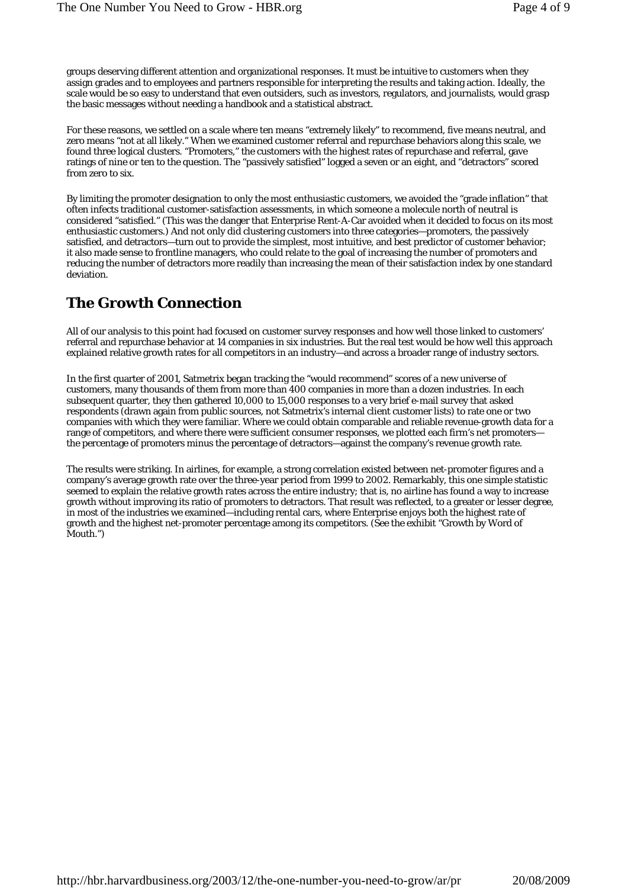groups deserving different attention and organizational responses. It must be intuitive to customers when they assign grades and to employees and partners responsible for interpreting the results and taking action. Ideally, the scale would be so easy to understand that even outsiders, such as investors, regulators, and journalists, would grasp the basic messages without needing a handbook and a statistical abstract.

For these reasons, we settled on a scale where ten means "extremely likely" to recommend, five means neutral, and zero means "not at all likely." When we examined customer referral and repurchase behaviors along this scale, we found three logical clusters. "Promoters," the customers with the highest rates of repurchase and referral, gave ratings of nine or ten to the question. The "passively satisfied" logged a seven or an eight, and "detractors" scored from zero to six.

By limiting the promoter designation to only the most enthusiastic customers, we avoided the "grade inflation" that often infects traditional customer-satisfaction assessments, in which someone a molecule north of neutral is considered "satisfied." (This was the danger that Enterprise Rent-A-Car avoided when it decided to focus on its most enthusiastic customers.) And not only did clustering customers into three categories—promoters, the passively satisfied, and detractors—turn out to provide the simplest, most intuitive, and best predictor of customer behavior; it also made sense to frontline managers, who could relate to the goal of increasing the number of promoters and reducing the number of detractors more readily than increasing the mean of their satisfaction index by one standard deviation.

#### **The Growth Connection**

All of our analysis to this point had focused on customer survey responses and how well those linked to customers' referral and repurchase behavior at 14 companies in six industries. But the real test would be how well this approach explained relative growth rates for all competitors in an industry—and across a broader range of industry sectors.

In the first quarter of 2001, Satmetrix began tracking the "would recommend" scores of a new universe of customers, many thousands of them from more than 400 companies in more than a dozen industries. In each subsequent quarter, they then gathered 10,000 to 15,000 responses to a very brief e-mail survey that asked respondents (drawn again from public sources, not Satmetrix's internal client customer lists) to rate one or two companies with which they were familiar. Where we could obtain comparable and reliable revenue-growth data for a range of competitors, and where there were sufficient consumer responses, we plotted each firm's net promoters the percentage of promoters minus the percentage of detractors—against the company's revenue growth rate.

The results were striking. In airlines, for example, a strong correlation existed between net-promoter figures and a company's average growth rate over the three-year period from 1999 to 2002. Remarkably, this one simple statistic seemed to explain the relative growth rates across the entire industry; that is, no airline has found a way to increase growth without improving its ratio of promoters to detractors. That result was reflected, to a greater or lesser degree, in most of the industries we examined—including rental cars, where Enterprise enjoys both the highest rate of growth and the highest net-promoter percentage among its competitors. (See the exhibit "Growth by Word of Mouth.")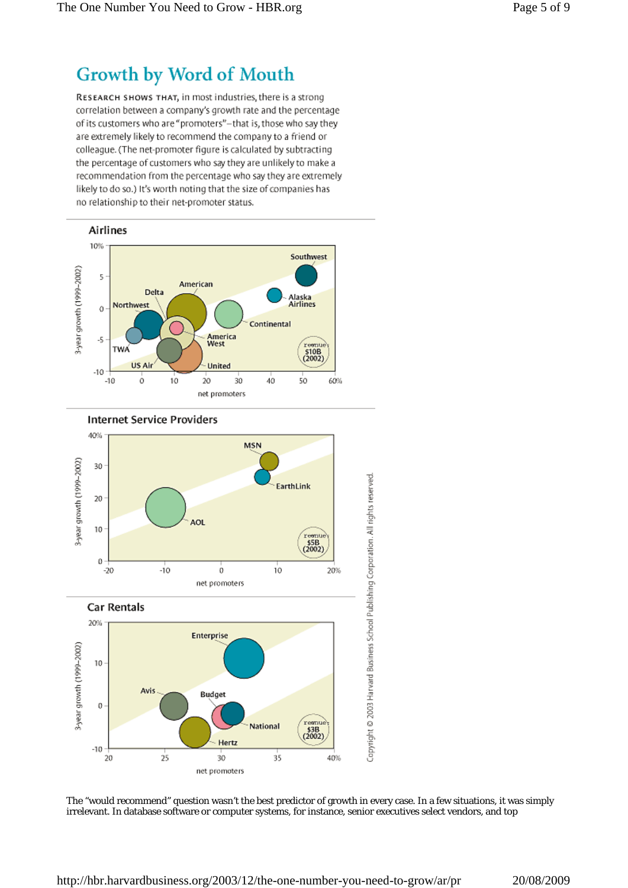## Growth by Word of Mouth

RESEARCH SHOWS THAT, in most industries, there is a strong correlation between a company's growth rate and the percentage of its customers who are "promoters"-that is, those who say they are extremely likely to recommend the company to a friend or colleague. (The net-promoter figure is calculated by subtracting the percentage of customers who say they are unlikely to make a recommendation from the percentage who say they are extremely likely to do so.) It's worth noting that the size of companies has no relationship to their net-promoter status.





The "would recommend" question wasn't the best predictor of growth in every case. In a few situations, it was simply irrelevant. In database software or computer systems, for instance, senior executives select vendors, and top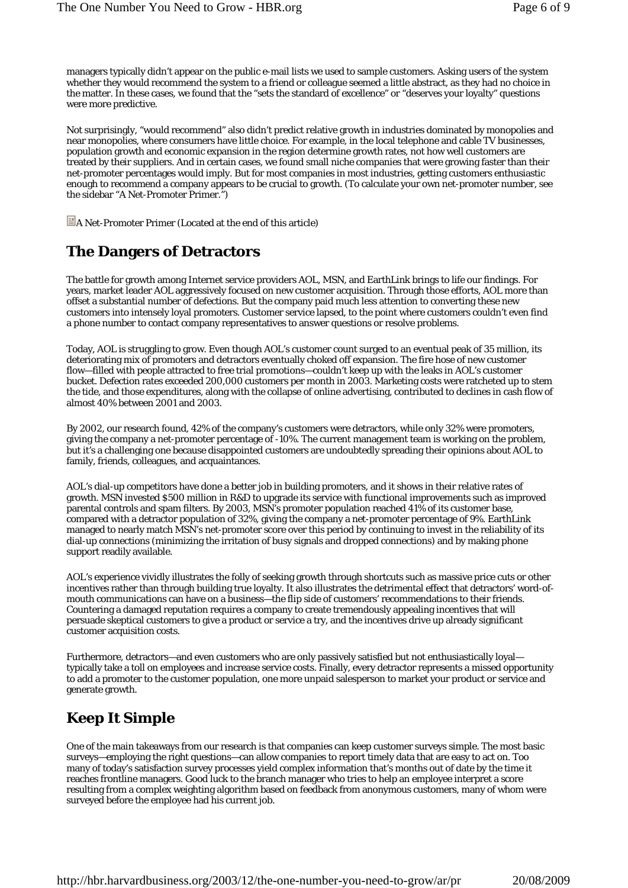managers typically didn't appear on the public e-mail lists we used to sample customers. Asking users of the system whether they would recommend the system to a friend or colleague seemed a little abstract, as they had no choice in the matter. In these cases, we found that the "sets the standard of excellence" or "deserves your loyalty" questions were more predictive.

Not surprisingly, "would recommend" also didn't predict relative growth in industries dominated by monopolies and near monopolies, where consumers have little choice. For example, in the local telephone and cable TV businesses, population growth and economic expansion in the region determine growth rates, not how well customers are treated by their suppliers. And in certain cases, we found small niche companies that were growing faster than their net-promoter percentages would imply. But for most companies in most industries, getting customers enthusiastic enough to recommend a company appears to be crucial to growth. (To calculate your own net-promoter number, see the sidebar "A Net-Promoter Primer.")

A Net-Promoter Primer (Located at the end of this article)

#### **The Dangers of Detractors**

The battle for growth among Internet service providers AOL, MSN, and EarthLink brings to life our findings. For years, market leader AOL aggressively focused on new customer acquisition. Through those efforts, AOL more than offset a substantial number of defections. But the company paid much less attention to converting these new customers into intensely loyal promoters. Customer service lapsed, to the point where customers couldn't even find a phone number to contact company representatives to answer questions or resolve problems.

Today, AOL is struggling to grow. Even though AOL's customer count surged to an eventual peak of 35 million, its deteriorating mix of promoters and detractors eventually choked off expansion. The fire hose of new customer flow—filled with people attracted to free trial promotions—couldn't keep up with the leaks in AOL's customer bucket. Defection rates exceeded 200,000 customers per month in 2003. Marketing costs were ratcheted up to stem the tide, and those expenditures, along with the collapse of online advertising, contributed to declines in cash flow of almost 40% between 2001 and 2003.

By 2002, our research found, 42% of the company's customers were detractors, while only 32% were promoters, giving the company a net-promoter percentage of -10%. The current management team is working on the problem, but it's a challenging one because disappointed customers are undoubtedly spreading their opinions about AOL to family, friends, colleagues, and acquaintances.

AOL's dial-up competitors have done a better job in building promoters, and it shows in their relative rates of growth. MSN invested \$500 million in R&D to upgrade its service with functional improvements such as improved parental controls and spam filters. By 2003, MSN's promoter population reached 41% of its customer base, compared with a detractor population of 32%, giving the company a net-promoter percentage of 9%. EarthLink managed to nearly match MSN's net-promoter score over this period by continuing to invest in the reliability of its dial-up connections (minimizing the irritation of busy signals and dropped connections) and by making phone support readily available.

AOL's experience vividly illustrates the folly of seeking growth through shortcuts such as massive price cuts or other incentives rather than through building true loyalty. It also illustrates the detrimental effect that detractors' word-ofmouth communications can have on a business—the flip side of customers' recommendations to their friends. Countering a damaged reputation requires a company to create tremendously appealing incentives that will persuade skeptical customers to give a product or service a try, and the incentives drive up already significant customer acquisition costs.

Furthermore, detractors—and even customers who are only passively satisfied but not enthusiastically loyal typically take a toll on employees and increase service costs. Finally, every detractor represents a missed opportunity to add a promoter to the customer population, one more unpaid salesperson to market your product or service and generate growth.

### **Keep It Simple**

One of the main takeaways from our research is that companies can keep customer surveys simple. The most basic surveys—employing the right questions—can allow companies to report timely data that are easy to act on. Too many of today's satisfaction survey processes yield complex information that's months out of date by the time it reaches frontline managers. Good luck to the branch manager who tries to help an employee interpret a score resulting from a complex weighting algorithm based on feedback from anonymous customers, many of whom were surveyed before the employee had his current job.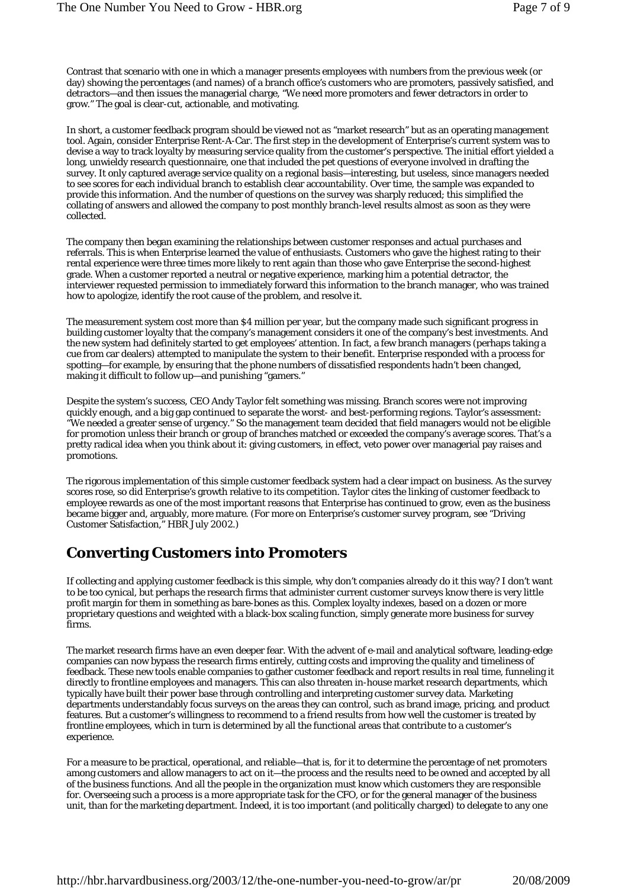Contrast that scenario with one in which a manager presents employees with numbers from the previous week (or day) showing the percentages (and names) of a branch office's customers who are promoters, passively satisfied, and detractors—and then issues the managerial charge, "We need more promoters and fewer detractors in order to grow." The goal is clear-cut, actionable, and motivating.

In short, a customer feedback program should be viewed not as "market research" but as an operating management tool. Again, consider Enterprise Rent-A-Car. The first step in the development of Enterprise's current system was to devise a way to track loyalty by measuring service quality from the customer's perspective. The initial effort yielded a long, unwieldy research questionnaire, one that included the pet questions of everyone involved in drafting the survey. It only captured average service quality on a regional basis—interesting, but useless, since managers needed to see scores for each individual branch to establish clear accountability. Over time, the sample was expanded to provide this information. And the number of questions on the survey was sharply reduced; this simplified the collating of answers and allowed the company to post monthly branch-level results almost as soon as they were collected.

The company then began examining the relationships between customer responses and actual purchases and referrals. This is when Enterprise learned the value of enthusiasts. Customers who gave the highest rating to their rental experience were three times more likely to rent again than those who gave Enterprise the second-highest grade. When a customer reported a neutral or negative experience, marking him a potential detractor, the interviewer requested permission to immediately forward this information to the branch manager, who was trained how to apologize, identify the root cause of the problem, and resolve it.

The measurement system cost more than \$4 million per year, but the company made such significant progress in building customer loyalty that the company's management considers it one of the company's best investments. And the new system had definitely started to get employees' attention. In fact, a few branch managers (perhaps taking a cue from car dealers) attempted to manipulate the system to their benefit. Enterprise responded with a process for spotting—for example, by ensuring that the phone numbers of dissatisfied respondents hadn't been changed, making it difficult to follow up—and punishing "gamers."

Despite the system's success, CEO Andy Taylor felt something was missing. Branch scores were not improving quickly enough, and a big gap continued to separate the worst- and best-performing regions. Taylor's assessment: "We needed a greater sense of urgency." So the management team decided that field managers would not be eligible for promotion unless their branch or group of branches matched or exceeded the company's average scores. That's a pretty radical idea when you think about it: giving customers, in effect, veto power over managerial pay raises and promotions.

The rigorous implementation of this simple customer feedback system had a clear impact on business. As the survey scores rose, so did Enterprise's growth relative to its competition. Taylor cites the linking of customer feedback to employee rewards as one of the most important reasons that Enterprise has continued to grow, even as the business became bigger and, arguably, more mature. (For more on Enterprise's customer survey program, see "Driving Customer Satisfaction," HBR July 2002.)

#### **Converting Customers into Promoters**

If collecting and applying customer feedback is this simple, why don't companies already do it this way? I don't want to be too cynical, but perhaps the research firms that administer current customer surveys know there is very little profit margin for them in something as bare-bones as this. Complex loyalty indexes, based on a dozen or more proprietary questions and weighted with a black-box scaling function, simply generate more business for survey firms.

The market research firms have an even deeper fear. With the advent of e-mail and analytical software, leading-edge companies can now bypass the research firms entirely, cutting costs and improving the quality and timeliness of feedback. These new tools enable companies to gather customer feedback and report results in real time, funneling it directly to frontline employees and managers. This can also threaten in-house market research departments, which typically have built their power base through controlling and interpreting customer survey data. Marketing departments understandably focus surveys on the areas they can control, such as brand image, pricing, and product features. But a customer's willingness to recommend to a friend results from how well the customer is treated by frontline employees, which in turn is determined by all the functional areas that contribute to a customer's experience.

For a measure to be practical, operational, and reliable—that is, for it to determine the percentage of net promoters among customers and allow managers to act on it—the process and the results need to be owned and accepted by all of the business functions. And all the people in the organization must know which customers they are responsible for. Overseeing such a process is a more appropriate task for the CFO, or for the general manager of the business unit, than for the marketing department. Indeed, it is too important (and politically charged) to delegate to any one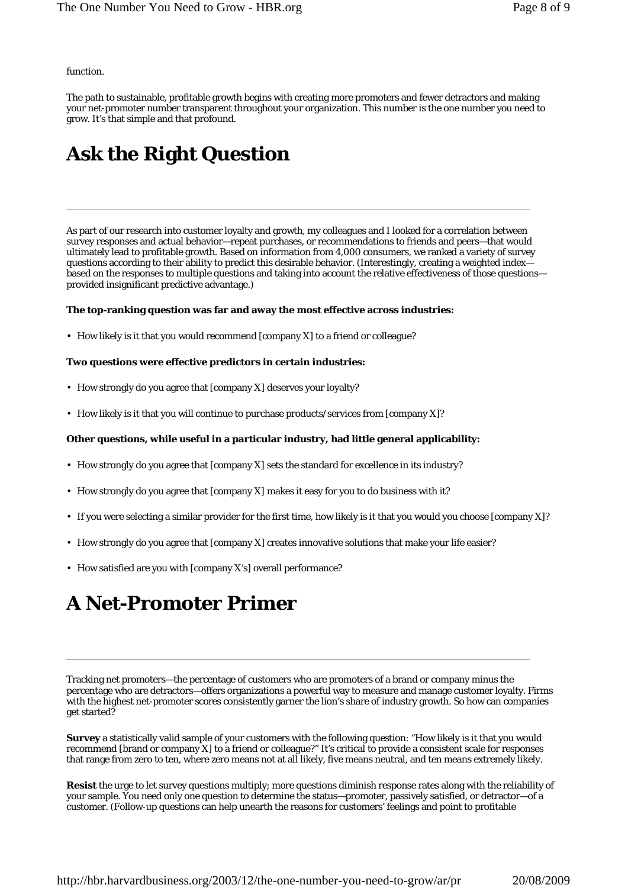function.

The path to sustainable, profitable growth begins with creating more promoters and fewer detractors and making your net-promoter number transparent throughout your organization. This number is the one number you need to grow. It's that simple and that profound.

# **Ask the Right Question**

As part of our research into customer loyalty and growth, my colleagues and I looked for a correlation between survey responses and actual behavior—repeat purchases, or recommendations to friends and peers—that would ultimately lead to profitable growth. Based on information from 4,000 consumers, we ranked a variety of survey questions according to their ability to predict this desirable behavior. (Interestingly, creating a weighted index based on the responses to multiple questions and taking into account the relative effectiveness of those questions provided insignificant predictive advantage.)

#### **The top-ranking question was far and away the most effective across industries:**

• How likely is it that you would recommend [company X] to a friend or colleague?

#### **Two questions were effective predictors in certain industries:**

- How strongly do you agree that [company X] deserves your loyalty?
- How likely is it that you will continue to purchase products/services from [company X]?

#### **Other questions, while useful in a particular industry, had little general applicability:**

- How strongly do you agree that [company X] sets the standard for excellence in its industry?
- How strongly do you agree that [company X] makes it easy for you to do business with it?
- If you were selecting a similar provider for the first time, how likely is it that you would you choose [company X]?
- How strongly do you agree that [company X] creates innovative solutions that make your life easier?
- How satisfied are you with [company X's] overall performance?

# **A Net-Promoter Primer**

Tracking net promoters—the percentage of customers who are promoters of a brand or company minus the percentage who are detractors—offers organizations a powerful way to measure and manage customer loyalty. Firms with the highest net-promoter scores consistently garner the lion's share of industry growth. So how can companies get started?

**Survey** a statistically valid sample of your customers with the following question: "How likely is it that you would recommend [brand or company X] to a friend or colleague?" It's critical to provide a consistent scale for responses that range from zero to ten, where zero means not at all likely, five means neutral, and ten means extremely likely.

**Resist** the urge to let survey questions multiply; more questions diminish response rates along with the reliability of your sample. You need only one question to determine the status—promoter, passively satisfied, or detractor—of a customer. (Follow-up questions can help unearth the reasons for customers' feelings and point to profitable